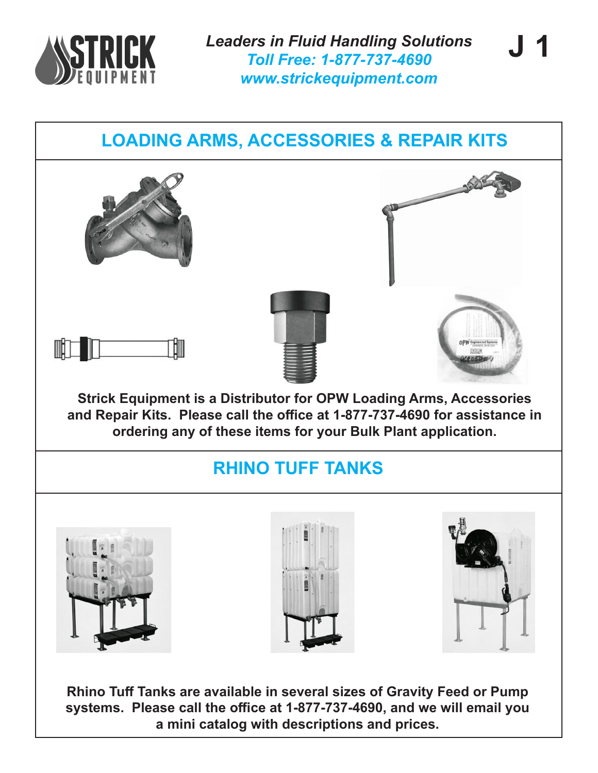

**J 1**

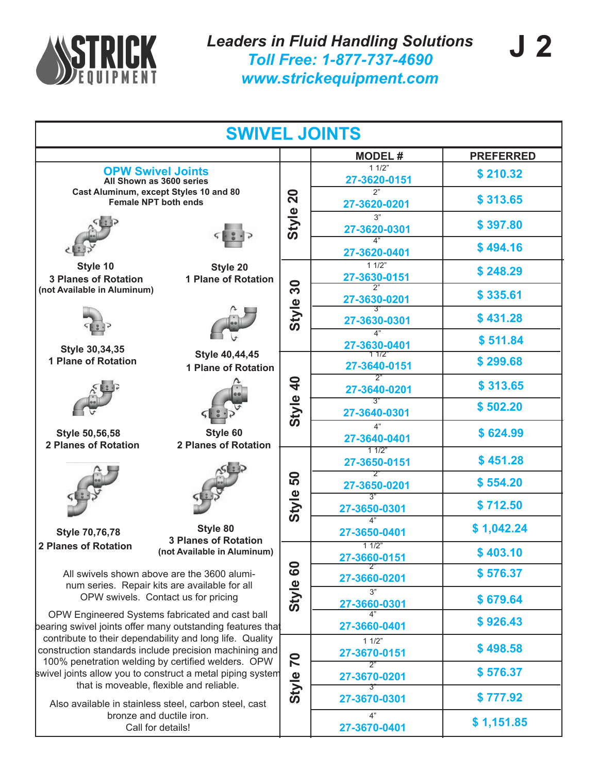![](_page_1_Picture_0.jpeg)

|                                                                                                                                                                                                                                                                                                                                                                                                                                                                                                                                                                                                                                                      |              | <b>SWIVEL JOINTS</b>                            |                  |  |  |  |
|------------------------------------------------------------------------------------------------------------------------------------------------------------------------------------------------------------------------------------------------------------------------------------------------------------------------------------------------------------------------------------------------------------------------------------------------------------------------------------------------------------------------------------------------------------------------------------------------------------------------------------------------------|--------------|-------------------------------------------------|------------------|--|--|--|
|                                                                                                                                                                                                                                                                                                                                                                                                                                                                                                                                                                                                                                                      |              | <b>MODEL#</b>                                   | <b>PREFERRED</b> |  |  |  |
| <b>OPW Swivel Joints</b><br>All Shown as 3600 series                                                                                                                                                                                                                                                                                                                                                                                                                                                                                                                                                                                                 |              | 11/2"<br>27-3620-0151                           | \$210.32         |  |  |  |
| Cast Aluminum, except Styles 10 and 80<br><b>Female NPT both ends</b>                                                                                                                                                                                                                                                                                                                                                                                                                                                                                                                                                                                | <b>20</b>    | 2"<br>27-3620-0201                              | \$313.65         |  |  |  |
|                                                                                                                                                                                                                                                                                                                                                                                                                                                                                                                                                                                                                                                      | Style        | 3"<br>27-3620-0301                              | \$397.80         |  |  |  |
|                                                                                                                                                                                                                                                                                                                                                                                                                                                                                                                                                                                                                                                      |              | $\overline{4"}$<br>27-3620-0401                 | \$494.16         |  |  |  |
| Style 10<br>Style 20<br><b>1 Plane of Rotation</b><br><b>3 Planes of Rotation</b>                                                                                                                                                                                                                                                                                                                                                                                                                                                                                                                                                                    |              | 11/2"<br>27-3630-0151                           | \$248.29         |  |  |  |
| (not Available in Aluminum)                                                                                                                                                                                                                                                                                                                                                                                                                                                                                                                                                                                                                          | 30           | 27-3630-0201                                    | \$335.61         |  |  |  |
|                                                                                                                                                                                                                                                                                                                                                                                                                                                                                                                                                                                                                                                      | Style        | 27-3630-0301<br>4"                              | \$431.28         |  |  |  |
| Style 30,34,35<br>Style 40,44,45                                                                                                                                                                                                                                                                                                                                                                                                                                                                                                                                                                                                                     |              | 27-3630-0401<br>1 172                           | \$511.84         |  |  |  |
| <b>1 Plane of Rotation</b><br><b>1 Plane of Rotation</b>                                                                                                                                                                                                                                                                                                                                                                                                                                                                                                                                                                                             |              | 27-3640-0151<br>ን"                              | \$299.68         |  |  |  |
|                                                                                                                                                                                                                                                                                                                                                                                                                                                                                                                                                                                                                                                      | $\mathbf{a}$ | 27-3640-0201<br>3"                              | \$313.65         |  |  |  |
|                                                                                                                                                                                                                                                                                                                                                                                                                                                                                                                                                                                                                                                      | Style        | 27-3640-0301                                    | \$502.20         |  |  |  |
| Style 60<br><b>Style 50,56,58</b><br><b>2 Planes of Rotation</b><br><b>2 Planes of Rotation</b>                                                                                                                                                                                                                                                                                                                                                                                                                                                                                                                                                      |              | 4"<br>27-3640-0401                              | \$624.99         |  |  |  |
|                                                                                                                                                                                                                                                                                                                                                                                                                                                                                                                                                                                                                                                      | 50<br>Style  | 11/2"<br>27-3650-0151                           | \$451.28         |  |  |  |
|                                                                                                                                                                                                                                                                                                                                                                                                                                                                                                                                                                                                                                                      |              | $2^{\circ}$<br>27-3650-0201<br>$\overline{3}$ " | \$554.20         |  |  |  |
|                                                                                                                                                                                                                                                                                                                                                                                                                                                                                                                                                                                                                                                      |              | 27-3650-0301<br>4"                              | \$712.50         |  |  |  |
| Style 80<br><b>Style 70,76,78</b><br><b>3 Planes of Rotation</b>                                                                                                                                                                                                                                                                                                                                                                                                                                                                                                                                                                                     |              | 27-3650-0401                                    | \$1,042.24       |  |  |  |
| 2 Planes of Rotation<br>(not Available in Aluminum)                                                                                                                                                                                                                                                                                                                                                                                                                                                                                                                                                                                                  | င္စ          | 11/2"<br>27-3660-0151                           | \$403.10         |  |  |  |
| All swivels shown above are the 3600 alumi-<br>num series. Repair kits are available for all<br>OPW swivels. Contact us for pricing<br>OPW Engineered Systems fabricated and cast ball<br>bearing swivel joints offer many outstanding features that<br>contribute to their dependability and long life. Quality<br>construction standards include precision machining and<br>100% penetration welding by certified welders. OPW<br>swivel joints allow you to construct a metal piping system<br>that is moveable, flexible and reliable.<br>Also available in stainless steel, carbon steel, cast<br>bronze and ductile iron.<br>Call for details! |              | 27-3660-0201                                    | \$576.37         |  |  |  |
|                                                                                                                                                                                                                                                                                                                                                                                                                                                                                                                                                                                                                                                      |              | 3"<br>27-3660-0301                              | \$679.64         |  |  |  |
|                                                                                                                                                                                                                                                                                                                                                                                                                                                                                                                                                                                                                                                      |              | 4"<br>27-3660-0401                              | \$926.43         |  |  |  |
|                                                                                                                                                                                                                                                                                                                                                                                                                                                                                                                                                                                                                                                      |              | 11/2"<br>27-3670-0151                           | \$498.58         |  |  |  |
|                                                                                                                                                                                                                                                                                                                                                                                                                                                                                                                                                                                                                                                      |              | 2"<br>27-3670-0201                              | \$576.37         |  |  |  |
|                                                                                                                                                                                                                                                                                                                                                                                                                                                                                                                                                                                                                                                      |              | 3″<br>27-3670-0301                              | \$777.92         |  |  |  |
|                                                                                                                                                                                                                                                                                                                                                                                                                                                                                                                                                                                                                                                      |              | 4"<br>27-3670-0401                              | \$1,151.85       |  |  |  |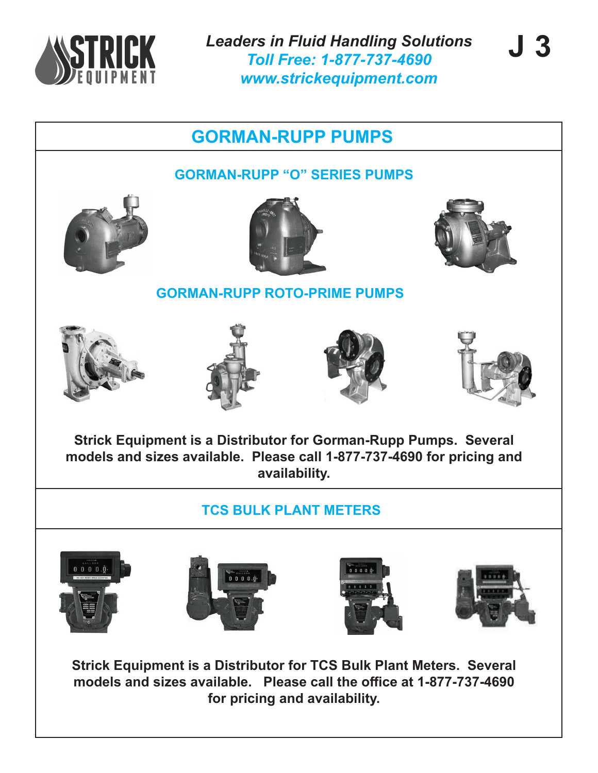![](_page_2_Picture_0.jpeg)

*Leaders in Fluid Handling Solutions Toll Free: 1-877-737-4690 www.strickequipment.com*

![](_page_2_Picture_3.jpeg)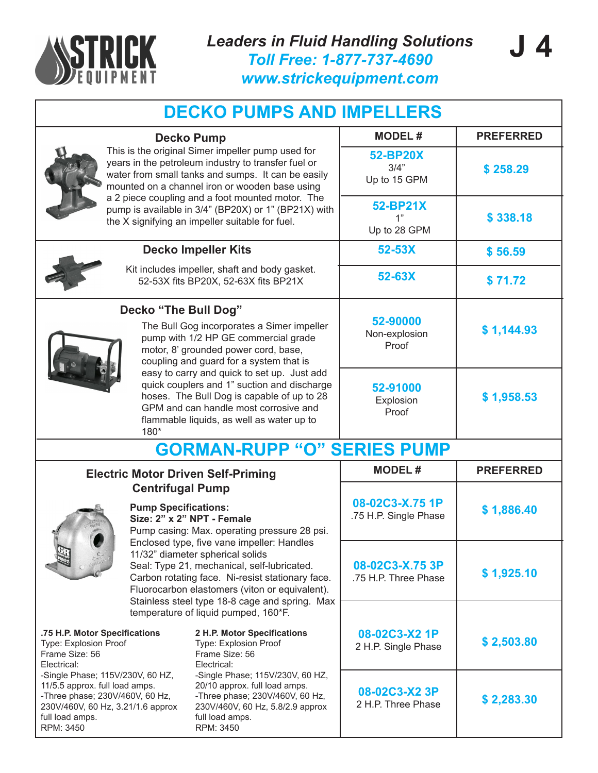![](_page_3_Picture_0.jpeg)

| <b>DECKO PUMPS AND IMPELLERS</b>                                                                                                                                                                                                                                                                                                                                                                                                                                                                                                                                                          |                                    |                                                                                                                                                                                                                                                                                       |                                         |                  |  |
|-------------------------------------------------------------------------------------------------------------------------------------------------------------------------------------------------------------------------------------------------------------------------------------------------------------------------------------------------------------------------------------------------------------------------------------------------------------------------------------------------------------------------------------------------------------------------------------------|------------------------------------|---------------------------------------------------------------------------------------------------------------------------------------------------------------------------------------------------------------------------------------------------------------------------------------|-----------------------------------------|------------------|--|
| <b>Decko Pump</b><br>This is the original Simer impeller pump used for<br>years in the petroleum industry to transfer fuel or<br>water from small tanks and sumps. It can be easily<br>mounted on a channel iron or wooden base using<br>a 2 piece coupling and a foot mounted motor. The<br>pump is available in 3/4" (BP20X) or 1" (BP21X) with<br>the X signifying an impeller suitable for fuel.                                                                                                                                                                                      |                                    | <b>MODEL#</b>                                                                                                                                                                                                                                                                         | <b>PREFERRED</b>                        |                  |  |
|                                                                                                                                                                                                                                                                                                                                                                                                                                                                                                                                                                                           |                                    | 52-BP20X<br>3/4"<br>Up to 15 GPM                                                                                                                                                                                                                                                      | \$258.29                                |                  |  |
|                                                                                                                                                                                                                                                                                                                                                                                                                                                                                                                                                                                           |                                    | 52-BP21X<br>1"<br>Up to 28 GPM                                                                                                                                                                                                                                                        | \$338.18                                |                  |  |
|                                                                                                                                                                                                                                                                                                                                                                                                                                                                                                                                                                                           |                                    | <b>Decko Impeller Kits</b>                                                                                                                                                                                                                                                            | 52-53X                                  | \$56.59          |  |
| Kit includes impeller, shaft and body gasket.<br>52-53X fits BP20X, 52-63X fits BP21X                                                                                                                                                                                                                                                                                                                                                                                                                                                                                                     |                                    | 52-63X                                                                                                                                                                                                                                                                                | \$71.72                                 |                  |  |
| Decko "The Bull Dog"<br>The Bull Gog incorporates a Simer impeller<br>pump with 1/2 HP GE commercial grade<br>motor, 8' grounded power cord, base,<br>coupling and guard for a system that is<br>easy to carry and quick to set up. Just add<br>quick couplers and 1" suction and discharge<br>hoses. The Bull Dog is capable of up to 28<br>GPM and can handle most corrosive and<br>flammable liquids, as well as water up to<br>180*                                                                                                                                                   |                                    | 52-90000<br>Non-explosion<br>Proof                                                                                                                                                                                                                                                    | \$1,144.93                              |                  |  |
|                                                                                                                                                                                                                                                                                                                                                                                                                                                                                                                                                                                           |                                    | 52-91000<br>Explosion<br>Proof                                                                                                                                                                                                                                                        | \$1,958.53                              |                  |  |
|                                                                                                                                                                                                                                                                                                                                                                                                                                                                                                                                                                                           | <b>GORMAN-RUPP "O" SERIES PUMP</b> |                                                                                                                                                                                                                                                                                       |                                         |                  |  |
|                                                                                                                                                                                                                                                                                                                                                                                                                                                                                                                                                                                           |                                    | <b>Electric Motor Driven Self-Priming</b>                                                                                                                                                                                                                                             | <b>MODEL#</b>                           | <b>PREFERRED</b> |  |
| <b>Centrifugal Pump</b><br><b>Pump Specifications:</b><br>Size: 2" x 2" NPT - Female<br>Pump casing: Max. operating pressure 28 psi.                                                                                                                                                                                                                                                                                                                                                                                                                                                      |                                    | 08-02C3-X.75 1P<br>.75 H.P. Single Phase                                                                                                                                                                                                                                              | \$1,886.40                              |                  |  |
|                                                                                                                                                                                                                                                                                                                                                                                                                                                                                                                                                                                           |                                    | Enclosed type, five vane impeller: Handles<br>11/32" diameter spherical solids<br>Seal: Type 21, mechanical, self-lubricated.<br>Carbon rotating face. Ni-resist stationary face.<br>Fluorocarbon elastomers (viton or equivalent).<br>Stainless steel type 18-8 cage and spring. Max | 08-02C3-X.75 3P<br>.75 H.P. Three Phase | \$1,925.10       |  |
| temperature of liquid pumped, 160*F.<br>.75 H.P. Motor Specifications<br>2 H.P. Motor Specifications<br>Type: Explosion Proof<br><b>Type: Explosion Proof</b><br>Frame Size: 56<br>Frame Size: 56<br>Electrical:<br>Electrical:<br>-Single Phase; 115V/230V, 60 HZ,<br>-Single Phase; 115V/230V, 60 HZ,<br>20/10 approx. full load amps.<br>11/5.5 approx. full load amps.<br>-Three phase; 230V/460V, 60 Hz,<br>-Three phase; 230V/460V, 60 Hz,<br>230V/460V, 60 Hz, 3.21/1.6 approx<br>230V/460V, 60 Hz, 5.8/2.9 approx<br>full load amps.<br>full load amps.<br>RPM: 3450<br>RPM: 3450 |                                    | 08-02C3-X2 1P<br>2 H.P. Single Phase                                                                                                                                                                                                                                                  | \$2,503.80                              |                  |  |
|                                                                                                                                                                                                                                                                                                                                                                                                                                                                                                                                                                                           |                                    | 08-02C3-X2 3P<br>2 H.P. Three Phase                                                                                                                                                                                                                                                   | \$2,283.30                              |                  |  |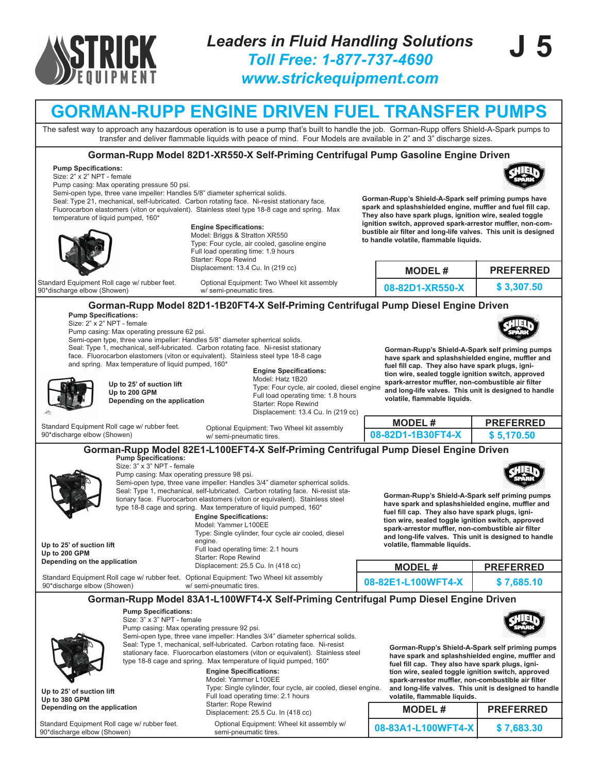![](_page_4_Picture_0.jpeg)

## **GORMAN-RUPP ENGINE DRIVEN FUEL TRANSFER PUMPS**

The safest way to approach any hazardous operation is to use a pump that's built to handle the job. Gorman-Rupp offers Shield-A-Spark pumps to transfer and deliver flammable liquids with peace of mind. Four Models are available in 2" and 3" discharge sizes.

#### **Gorman-Rupp Model 82D1-XR550-X Self-Priming Centrifugal Pump Gasoline Engine Driven**

#### **Pump Specifications:**

Size: 2" x 2" NPT - female

Pump casing: Max operating pressure 50 psi.

Semi-open type, three vane impeller: Handles 5/8" diameter spherrical solids.

Seal: Type 21, mechanical, self-lubricated. Carbon rotating face. Ni-resist stationary face. Fluorocarbon elastomers (viton or equivalent). Stainless steel type 18-8 cage and spring. Max temperature of liquid pumped, 160\*

![](_page_4_Picture_11.jpeg)

**Engine Specifications:**

Model: Briggs & Stratton XR550 Type: Four cycle, air cooled, gasoline engine Full load operating time: 1.9 hours Starter: Rope Rewind Displacement: 13.4 Cu. In (219 cc)

Standard Equipment Roll cage w/ rubber feet. 90\*discharge elbow (Showen)

**Gorman-Rupp's Shield-A-Spark self priming pumps have spark and splashshielded engine, muffler and fuel fill cap. They also have spark plugs, ignition wire, sealed toggle ignition switch, approved spark-arrestor muffler, non-combustible air filter and long-life valves. This unit is designed to handle volatile, flammable liquids.**

| irter. Rope Rewing<br>placement: 13.4 Cu. In (219 cc).                 | <b>MODEL#</b>   | <b>PREFERRED</b> |
|------------------------------------------------------------------------|-----------------|------------------|
| Optional Equipment: Two Wheel kit assembly<br>w/ semi-pneumatic tires. | 08-82D1-XR550-X | \$3,307.50       |

#### **Pump Specifications: Gorman-Rupp Model 82D1-1B20FT4-X Self-Priming Centrifugal Pump Diesel Engine Driven**

Size: 2" x 2" NPT - female

Standard Equipment Roll cage w/ rubber feet.

90\*discharge elbow (Showen)

Pump casing: Max operating pressure 62 psi.

**Up to 25' of suction lift Up to 200 GPM**

**Depending on the application**

**Pump Specifications:** Size: 3" x 3" NPT - female

Semi-open type, three vane impeller: Handles 5/8" diameter spherrical solids. Seal: Type 1, mechanical, self-lubricated. Carbon rotating face. Ni-resist stationary

face. Fluorocarbon elastomers (viton or equivalent). Stainless steel type 18-8 cage and spring. Max temperature of liquid pumped, 160\*

**Engine Specifications:**

w/ semi-pneumatic tires.

Model: Hatz 1B20 Type: Four cycle, air cooled, diesel engine Full load operating time: 1.8 hours Starter: Rope Rewind Displacement: 13.4 Cu. In (219 cc)

Optional Equipment: Two Wheel kit assembly

**Gorman-Rupp's Shield-A-Spark self priming pumps have spark and splashshielded engine, muffler and fuel fill cap. They also have spark plugs, ignition wire, sealed toggle ignition switch, approved spark-arrestor muffler, non-combustible air filter and long-life valves. This unit is designed to handle volatile, flammable liquids.**

| ັ |                   |                  |
|---|-------------------|------------------|
|   | MODEL #           | <b>PREFERRED</b> |
|   | 08-82D1-1B30FT4-X | \$ 5.170.50      |

![](_page_4_Picture_26.jpeg)

Standard Equipment Roll cage w/ rubber feet. Optional Equipment: Two Wheel kit assembly 90\*discharge elbow (Showen) w/ semi-pneumatic tires. **08-82E1-L100WFT4-X**

> Semi-open type, three vane impeller: Handles 3/4" diameter spherrical solids. Seal: Type 1, mechanical, self-lubricated. Carbon rotating face. Ni-resist stationary face. Fluorocarbon elastomers (viton or equivalent). Stainless steel type 18-8 cage and spring. Max temperature of liquid pumped, 160\*

Pump casing: Max operating pressure 92 psi.

### **Gorman-Rupp Model 83A1-L100WFT4-X Self-Priming Centrifugal Pump Diesel Engine Driven**

![](_page_4_Picture_29.jpeg)

**Up to 25' of suction lift Up to 380 GPM Depending on the application**

Standard Equipment Roll cage w/ rubber feet. 90\*discharge elbow (Showen)

**Engine Specifications:** Model: Yammer L100EE Type: Single cylinder, four cycle, air cooled, diesel engine. Full load operating time: 2.1 hours Starter: Rope Rewind Displacement: 25.5 Cu. In (418 cc)

Optional Equipment: Wheel kit assembly w/ semi-pneumatic tires.

**Gorman-Rupp's Shield-A-Spark self priming pumps have spark and splashshielded engine, muffler and fuel fill cap. They also have spark plugs, ignition wire, sealed toggle ignition switch, approved spark-arrestor muffler, non-combustible air filter and long-life valves. This unit is designed to handle volatile, flammable liquids.**

| <b>MODEL#</b>      | <b>PREFERRED</b> |
|--------------------|------------------|
| 08-83A1-L100WFT4-X | \$7,683.30       |

![](_page_4_Picture_36.jpeg)

**\$ 7,685.10**